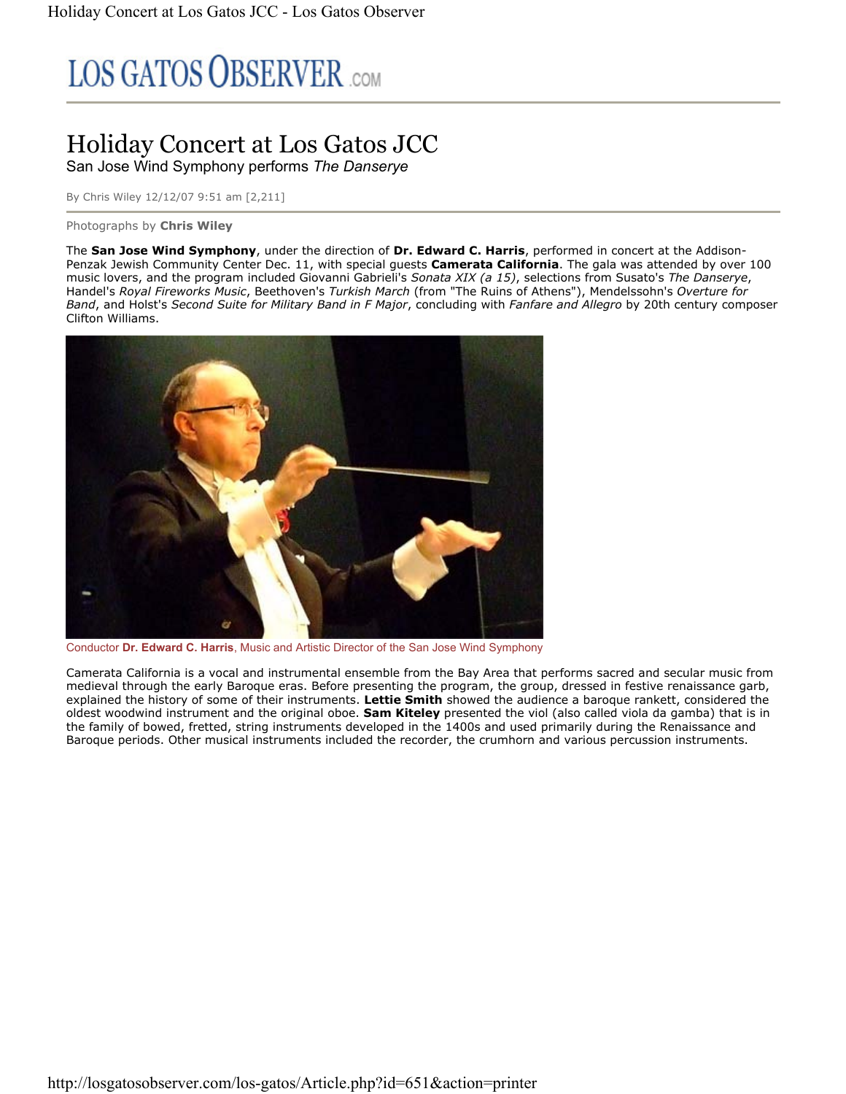# **LOS GATOS OBSERVER** COM

## Holiday Concert at Los Gatos JCC San Jose Wind Symphony performs *The Danserye*

By Chris Wiley 12/12/07 9:51 am [2,211]

#### Photographs by **Chris Wiley**

The **San Jose Wind Symphony**, under the direction of **Dr. Edward C. Harris**, performed in concert at the Addison-Penzak Jewish Community Center Dec. 11, with special guests **Camerata California**. The gala was attended by over 100 music lovers, and the program included Giovanni Gabrieli's *Sonata XIX (a 15)*, selections from Susato's *The Danserye*, Handel's *Royal Fireworks Music*, Beethoven's *Turkish March* (from "The Ruins of Athens"), Mendelssohn's *Overture for Band*, and Holst's *Second Suite for Military Band in F Major*, concluding with *Fanfare and Allegro* by 20th century composer Clifton Williams.



Conductor **Dr. Edward C. Harris**, Music and Artistic Director of the San Jose Wind Symphony

Camerata California is a vocal and instrumental ensemble from the Bay Area that performs sacred and secular music from medieval through the early Baroque eras. Before presenting the program, the group, dressed in festive renaissance garb, explained the history of some of their instruments. **Lettie Smith** showed the audience a baroque rankett, considered the oldest woodwind instrument and the original oboe. **Sam Kiteley** presented the viol (also called viola da gamba) that is in the family of bowed, fretted, string instruments developed in the 1400s and used primarily during the Renaissance and Baroque periods. Other musical instruments included the recorder, the crumhorn and various percussion instruments.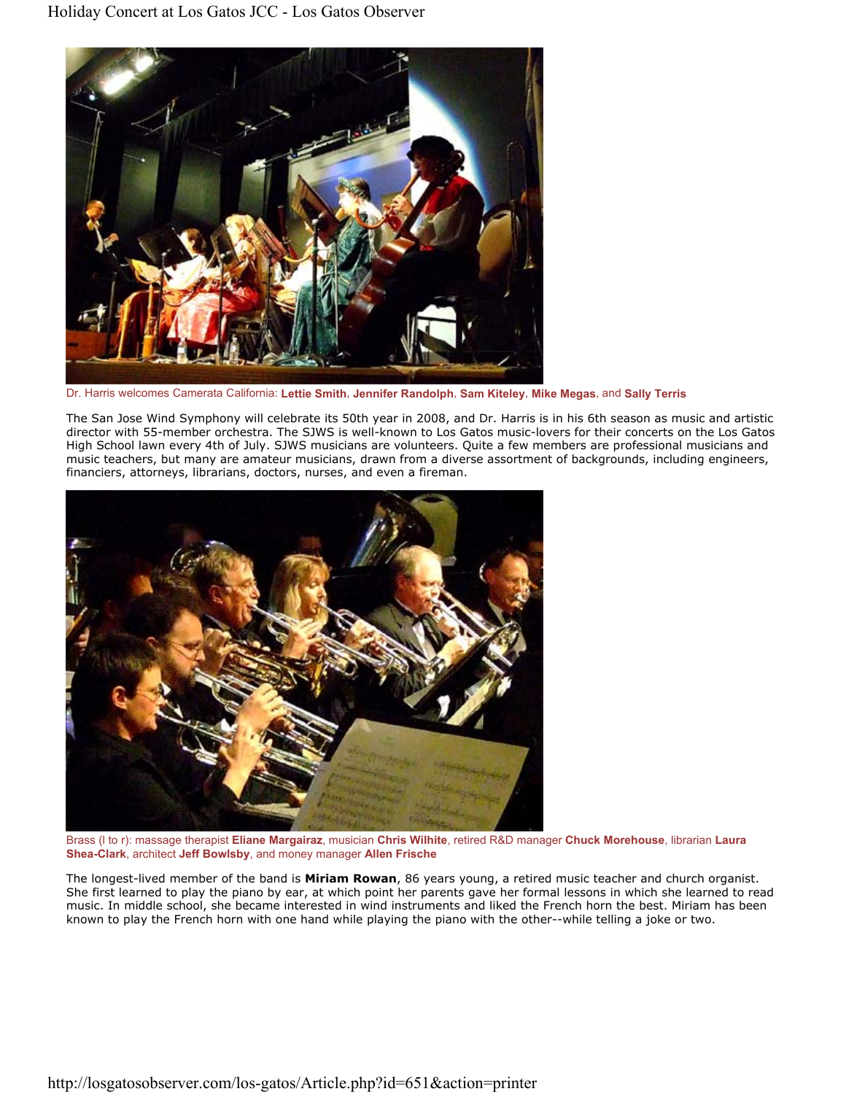

Dr. Harris welcomes Camerata California: **Lettie Smith**, **Jennifer Randolph**, **Sam Kiteley**, **Mike Megas**, and **Sally Terris**

The San Jose Wind Symphony will celebrate its 50th year in 2008, and Dr. Harris is in his 6th season as music and artistic director with 55-member orchestra. The SJWS is well-known to Los Gatos music-lovers for their concerts on the Los Gatos High School lawn every 4th of July. SJWS musicians are volunteers. Quite a few members are professional musicians and music teachers, but many are amateur musicians, drawn from a diverse assortment of backgrounds, including engineers, financiers, attorneys, librarians, doctors, nurses, and even a fireman.



Brass (l to r): massage therapist **Eliane Margairaz**, musician **Chris Wilhite**, retired R&D manager **Chuck Morehouse**, librarian **Laura Shea-Clark**, architect **Jeff Bowlsby**, and money manager **Allen Frische**

The longest-lived member of the band is **Miriam Rowan**, 86 years young, a retired music teacher and church organist. She first learned to play the piano by ear, at which point her parents gave her formal lessons in which she learned to read music. In middle school, she became interested in wind instruments and liked the French horn the best. Miriam has been known to play the French horn with one hand while playing the piano with the other--while telling a joke or two.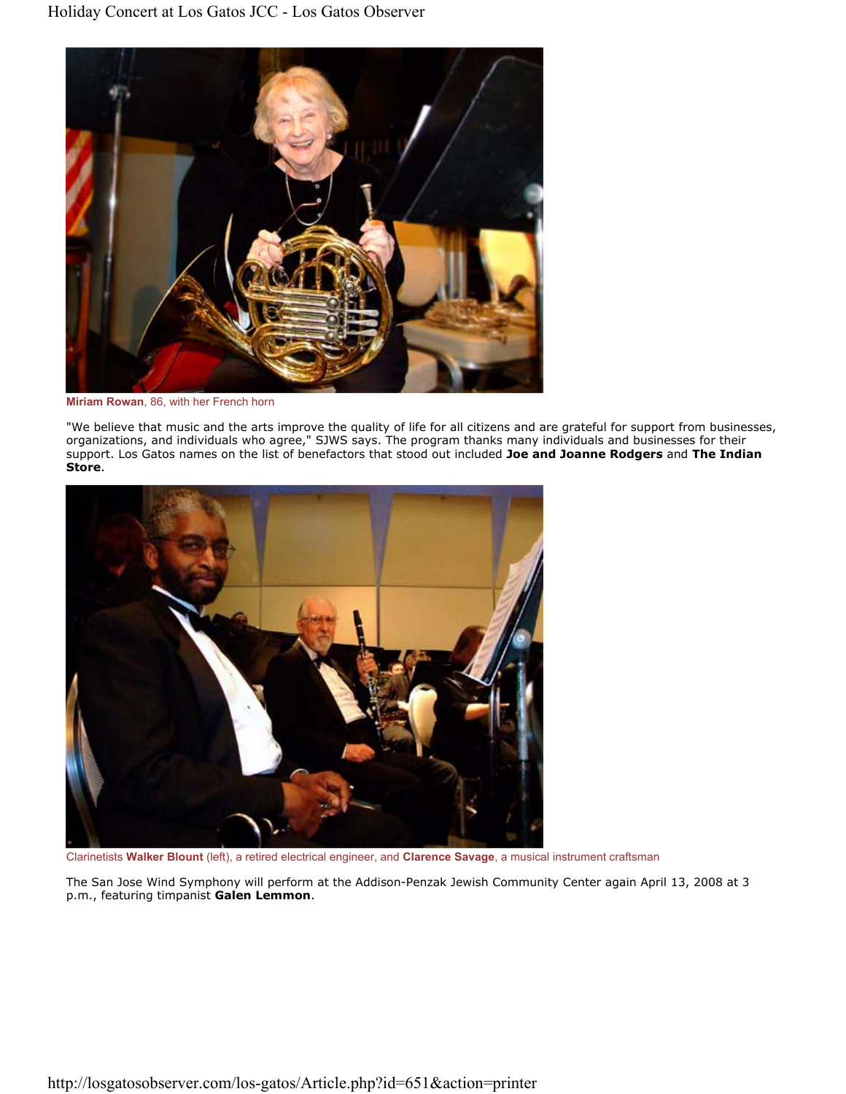

**Miriam Rowan**, 86, with her French horn

"We believe that music and the arts improve the quality of life for all citizens and are grateful for support from businesses, organizations, and individuals who agree," SJWS says. The program thanks many individuals and businesses for their support. Los Gatos names on the list of benefactors that stood out included **Joe and Joanne Rodgers** and **The Indian Store**.



Clarinetists **Walker Blount** (left), a retired electrical engineer, and **Clarence Savage**, a musical instrument craftsman

The San Jose Wind Symphony will perform at the Addison-Penzak Jewish Community Center again April 13, 2008 at 3 p.m., featuring timpanist **Galen Lemmon**.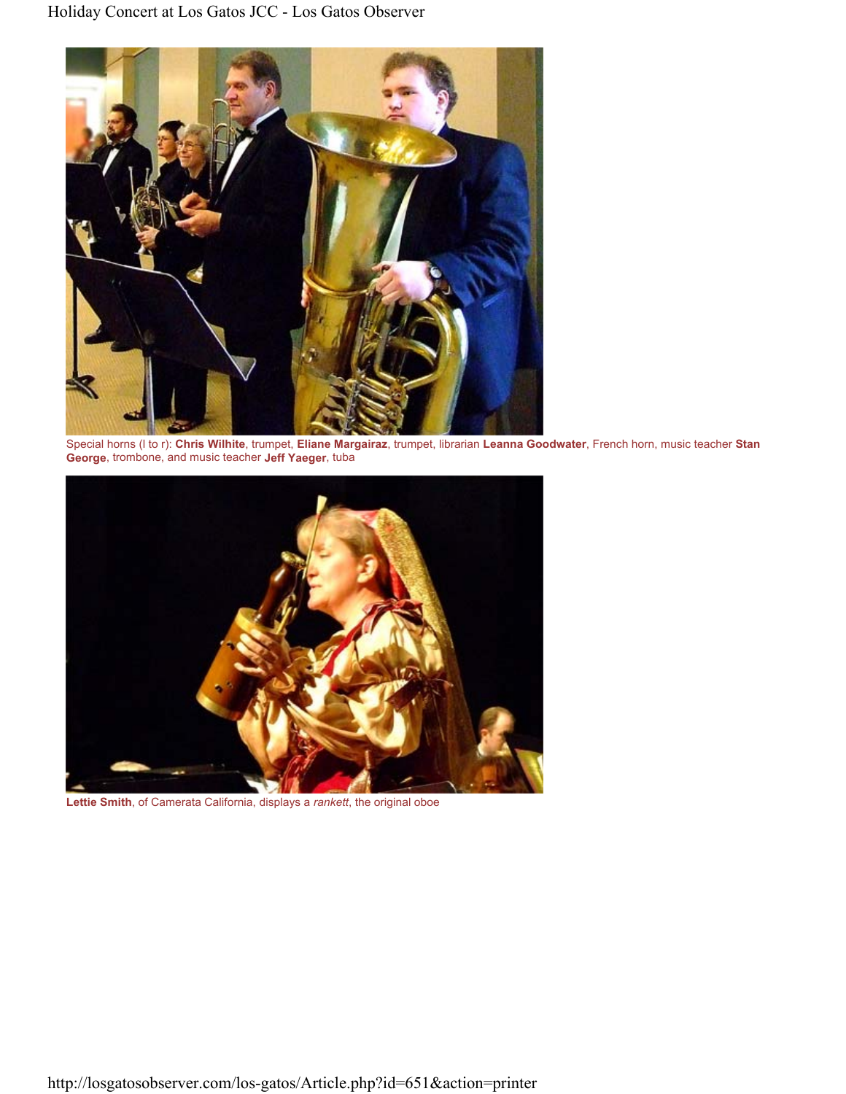

Special horns (l to r): **Chris Wilhite**, trumpet, **Eliane Margairaz**, trumpet, librarian **Leanna Goodwater**, French horn, music teacher **Stan George**, trombone, and music teacher **Jeff Yaeger**, tuba



**Lettie Smith**, of Camerata California, displays a *rankett*, the original oboe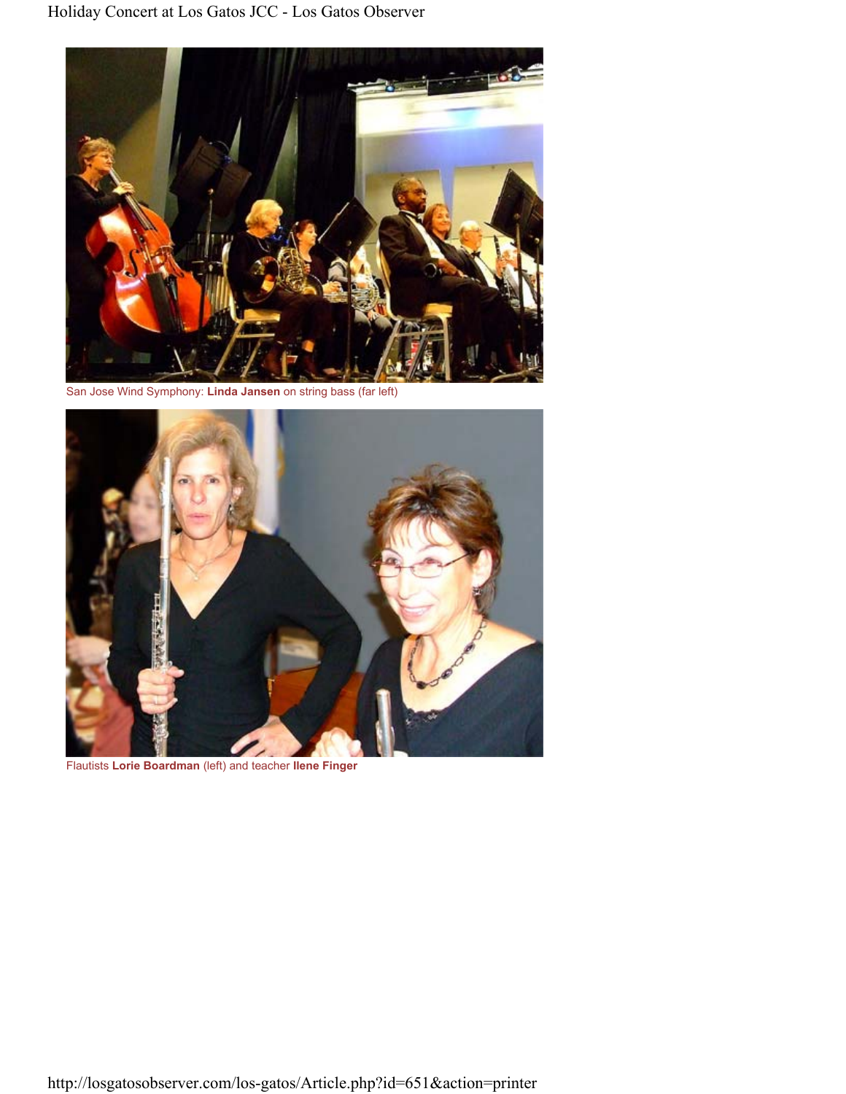

San Jose Wind Symphony: **Linda Jansen** on string bass (far left)



Flautists **Lorie Boardman** (left) and teacher **Ilene Finger**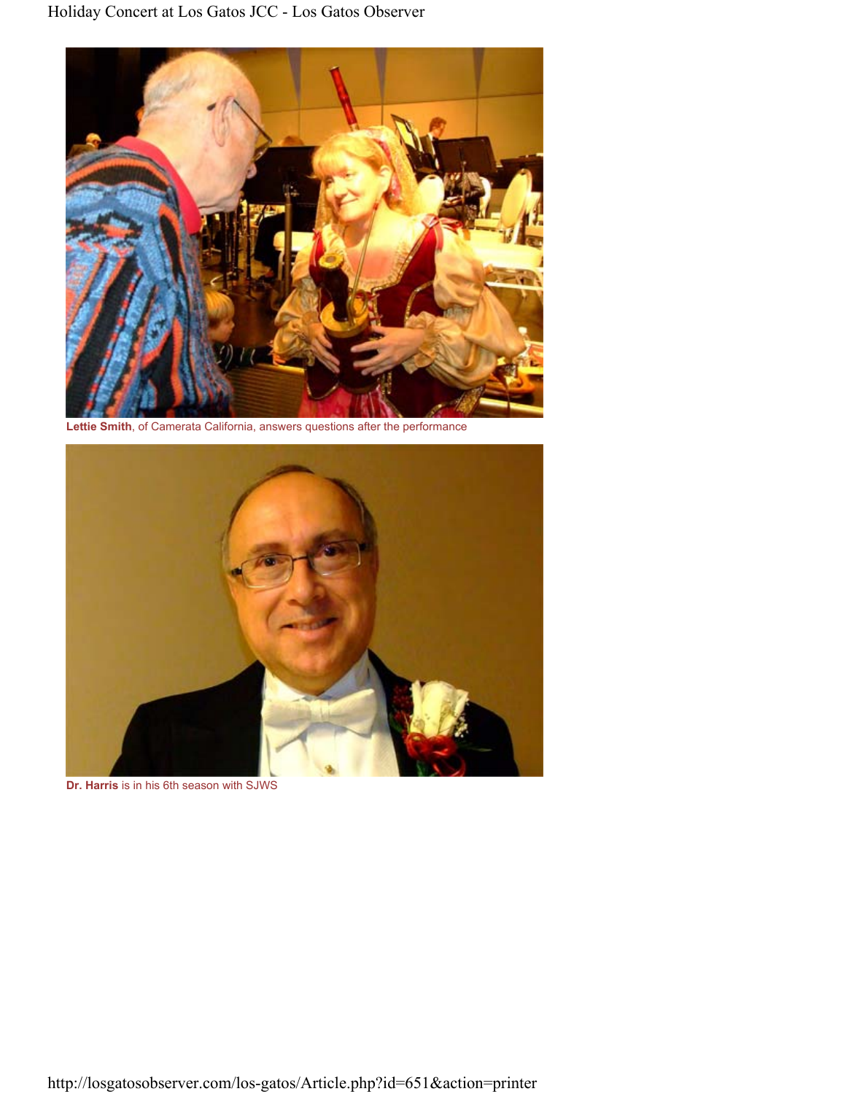

**Lettie Smith**, of Camerata California, answers questions after the performance



**Dr. Harris** is in his 6th season with SJWS